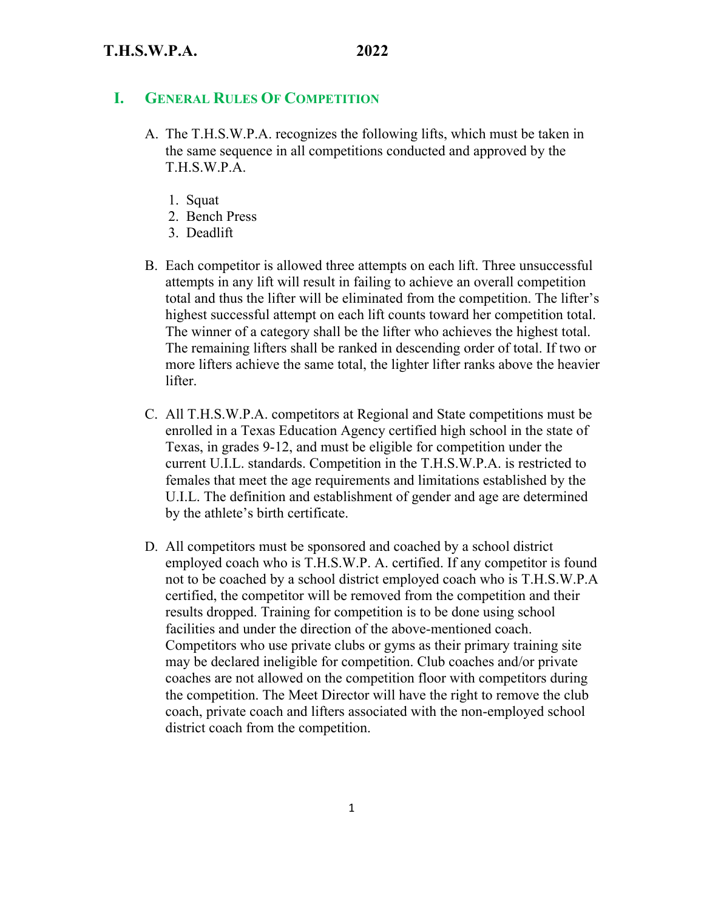### **I. GENERAL RULES OF COMPETITION**

- A. The T.H.S.W.P.A. recognizes the following lifts, which must be taken in the same sequence in all competitions conducted and approved by the T.H.S.W.P.A.
	- 1. Squat
	- 2. Bench Press
	- 3. Deadlift
- B. Each competitor is allowed three attempts on each lift. Three unsuccessful attempts in any lift will result in failing to achieve an overall competition total and thus the lifter will be eliminated from the competition. The lifter's highest successful attempt on each lift counts toward her competition total. The winner of a category shall be the lifter who achieves the highest total. The remaining lifters shall be ranked in descending order of total. If two or more lifters achieve the same total, the lighter lifter ranks above the heavier lifter.
- C. All T.H.S.W.P.A. competitors at Regional and State competitions must be enrolled in a Texas Education Agency certified high school in the state of Texas, in grades 9-12, and must be eligible for competition under the current U.I.L. standards. Competition in the T.H.S.W.P.A. is restricted to females that meet the age requirements and limitations established by the U.I.L. The definition and establishment of gender and age are determined by the athlete's birth certificate.
- D. All competitors must be sponsored and coached by a school district employed coach who is T.H.S.W.P. A. certified. If any competitor is found not to be coached by a school district employed coach who is T.H.S.W.P.A certified, the competitor will be removed from the competition and their results dropped. Training for competition is to be done using school facilities and under the direction of the above-mentioned coach. Competitors who use private clubs or gyms as their primary training site may be declared ineligible for competition. Club coaches and/or private coaches are not allowed on the competition floor with competitors during the competition. The Meet Director will have the right to remove the club coach, private coach and lifters associated with the non-employed school district coach from the competition.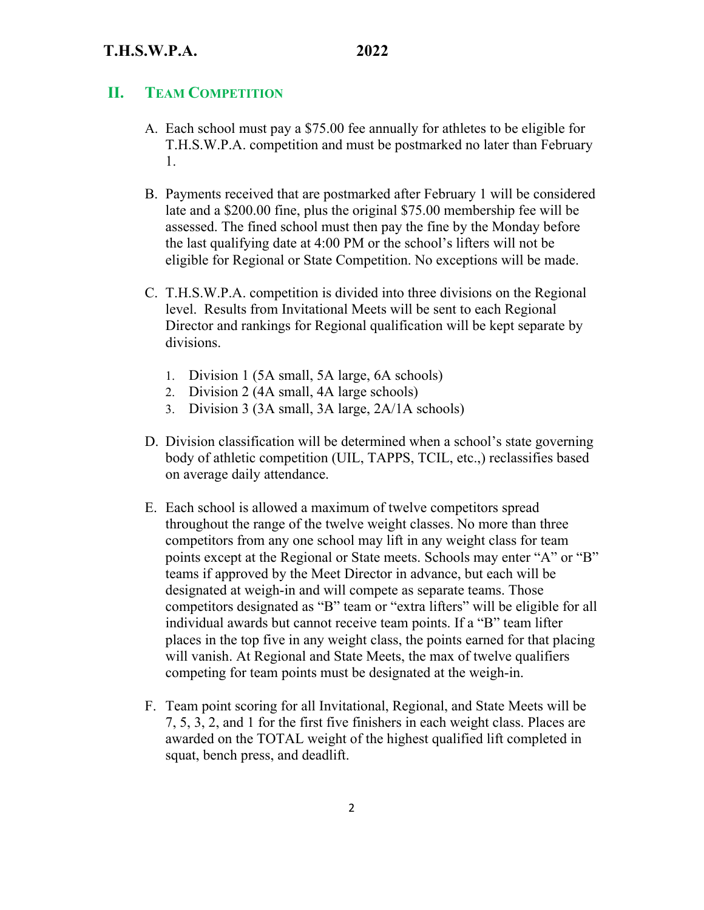# **II. TEAM COMPETITION**

- A. Each school must pay a \$75.00 fee annually for athletes to be eligible for T.H.S.W.P.A. competition and must be postmarked no later than February 1.
- B. Payments received that are postmarked after February 1 will be considered late and a \$200.00 fine, plus the original \$75.00 membership fee will be assessed. The fined school must then pay the fine by the Monday before the last qualifying date at 4:00 PM or the school's lifters will not be eligible for Regional or State Competition. No exceptions will be made.
- C. T.H.S.W.P.A. competition is divided into three divisions on the Regional level. Results from Invitational Meets will be sent to each Regional Director and rankings for Regional qualification will be kept separate by divisions.
	- 1. Division 1 (5A small, 5A large, 6A schools)
	- 2. Division 2 (4A small, 4A large schools)
	- 3. Division 3 (3A small, 3A large, 2A/1A schools)
- D. Division classification will be determined when a school's state governing body of athletic competition (UIL, TAPPS, TCIL, etc.,) reclassifies based on average daily attendance.
- E. Each school is allowed a maximum of twelve competitors spread throughout the range of the twelve weight classes. No more than three competitors from any one school may lift in any weight class for team points except at the Regional or State meets. Schools may enter "A" or "B" teams if approved by the Meet Director in advance, but each will be designated at weigh-in and will compete as separate teams. Those competitors designated as "B" team or "extra lifters" will be eligible for all individual awards but cannot receive team points. If a "B" team lifter places in the top five in any weight class, the points earned for that placing will vanish. At Regional and State Meets, the max of twelve qualifiers competing for team points must be designated at the weigh-in.
- F. Team point scoring for all Invitational, Regional, and State Meets will be 7, 5, 3, 2, and 1 for the first five finishers in each weight class. Places are awarded on the TOTAL weight of the highest qualified lift completed in squat, bench press, and deadlift.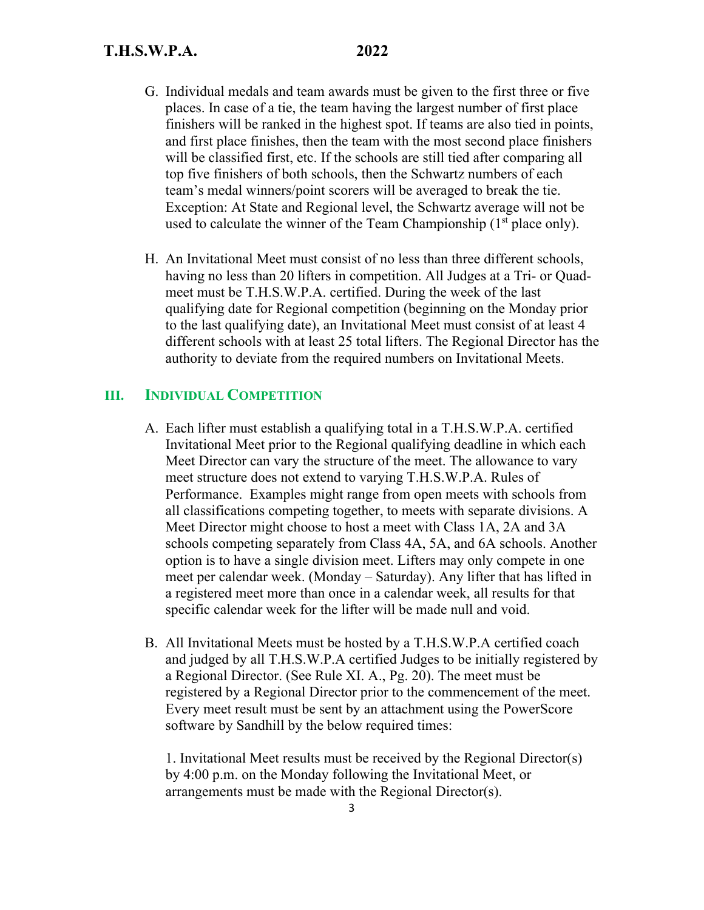- G. Individual medals and team awards must be given to the first three or five places. In case of a tie, the team having the largest number of first place finishers will be ranked in the highest spot. If teams are also tied in points, and first place finishes, then the team with the most second place finishers will be classified first, etc. If the schools are still tied after comparing all top five finishers of both schools, then the Schwartz numbers of each team's medal winners/point scorers will be averaged to break the tie. Exception: At State and Regional level, the Schwartz average will not be used to calculate the winner of the Team Championship  $(1<sup>st</sup>$  place only).
- H. An Invitational Meet must consist of no less than three different schools, having no less than 20 lifters in competition. All Judges at a Tri- or Quadmeet must be T.H.S.W.P.A. certified. During the week of the last qualifying date for Regional competition (beginning on the Monday prior to the last qualifying date), an Invitational Meet must consist of at least 4 different schools with at least 25 total lifters. The Regional Director has the authority to deviate from the required numbers on Invitational Meets.

# **III. INDIVIDUAL COMPETITION**

- A. Each lifter must establish a qualifying total in a T.H.S.W.P.A. certified Invitational Meet prior to the Regional qualifying deadline in which each Meet Director can vary the structure of the meet. The allowance to vary meet structure does not extend to varying T.H.S.W.P.A. Rules of Performance. Examples might range from open meets with schools from all classifications competing together, to meets with separate divisions. A Meet Director might choose to host a meet with Class 1A, 2A and 3A schools competing separately from Class 4A, 5A, and 6A schools. Another option is to have a single division meet. Lifters may only compete in one meet per calendar week. (Monday – Saturday). Any lifter that has lifted in a registered meet more than once in a calendar week, all results for that specific calendar week for the lifter will be made null and void.
- B. All Invitational Meets must be hosted by a T.H.S.W.P.A certified coach and judged by all T.H.S.W.P.A certified Judges to be initially registered by a Regional Director. (See Rule XI. A., Pg. 20). The meet must be registered by a Regional Director prior to the commencement of the meet. Every meet result must be sent by an attachment using the PowerScore software by Sandhill by the below required times:

1. Invitational Meet results must be received by the Regional Director(s) by 4:00 p.m. on the Monday following the Invitational Meet, or arrangements must be made with the Regional Director(s).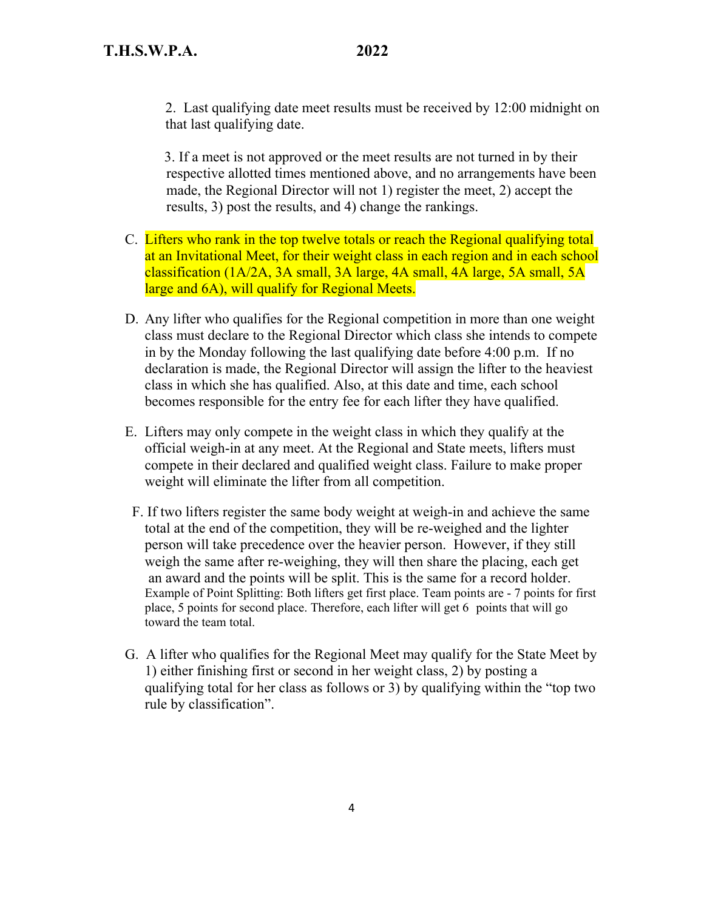2. Last qualifying date meet results must be received by 12:00 midnight on that last qualifying date.

 3. If a meet is not approved or the meet results are not turned in by their respective allotted times mentioned above, and no arrangements have been made, the Regional Director will not 1) register the meet, 2) accept the results, 3) post the results, and 4) change the rankings.

- C. Lifters who rank in the top twelve totals or reach the Regional qualifying total at an Invitational Meet, for their weight class in each region and in each school classification (1A/2A, 3A small, 3A large, 4A small, 4A large, 5A small, 5A large and 6A), will qualify for Regional Meets.
- D. Any lifter who qualifies for the Regional competition in more than one weight class must declare to the Regional Director which class she intends to compete in by the Monday following the last qualifying date before 4:00 p.m. If no declaration is made, the Regional Director will assign the lifter to the heaviest class in which she has qualified. Also, at this date and time, each school becomes responsible for the entry fee for each lifter they have qualified.
- E. Lifters may only compete in the weight class in which they qualify at the official weigh-in at any meet. At the Regional and State meets, lifters must compete in their declared and qualified weight class. Failure to make proper weight will eliminate the lifter from all competition.
- F. If two lifters register the same body weight at weigh-in and achieve the same total at the end of the competition, they will be re-weighed and the lighter person will take precedence over the heavier person. However, if they still weigh the same after re-weighing, they will then share the placing, each get an award and the points will be split. This is the same for a record holder. Example of Point Splitting: Both lifters get first place. Team points are - 7 points for first place, 5 points for second place. Therefore, each lifter will get 6 points that will go toward the team total.
- G. A lifter who qualifies for the Regional Meet may qualify for the State Meet by 1) either finishing first or second in her weight class, 2) by posting a qualifying total for her class as follows or 3) by qualifying within the "top two rule by classification".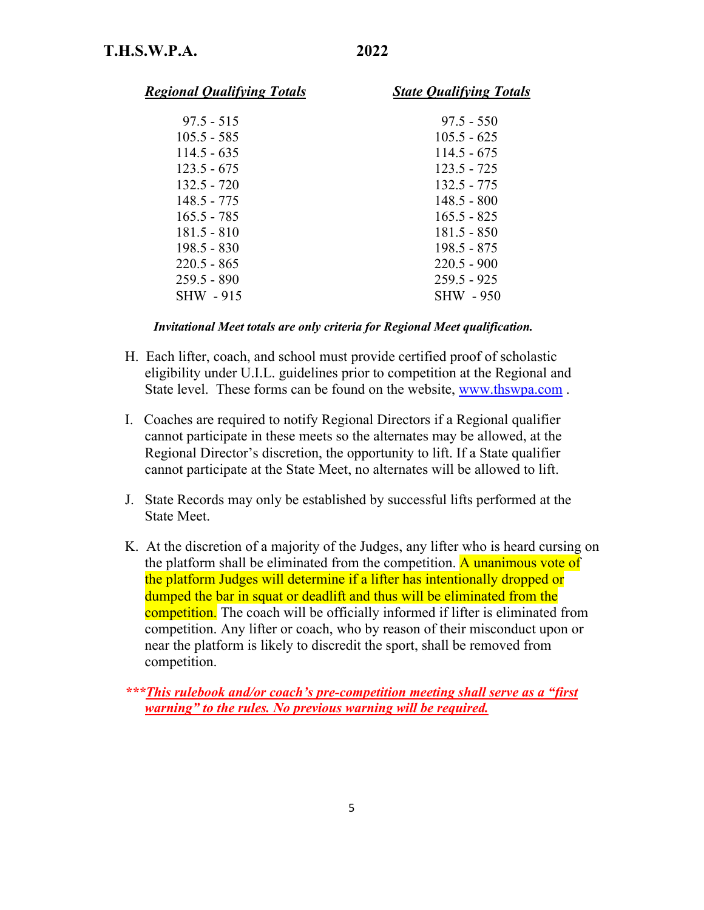| <b>Regional Qualifying Totals</b> | <b>State Qualifying Totals</b> |
|-----------------------------------|--------------------------------|
| $97.5 - 515$                      | $97.5 - 550$                   |
| $105.5 - 585$                     | $105.5 - 625$                  |
| $114.5 - 635$                     | $114.5 - 675$                  |
| $123.5 - 675$                     | $123.5 - 725$                  |
| 132.5 - 720                       | $132.5 - 775$                  |
| 148.5 - 775                       | 148.5 - 800                    |
| $165.5 - 785$                     | $165.5 - 825$                  |
| 181.5 - 810                       | $181.5 - 850$                  |
| 198.5 - 830                       | 198.5 - 875                    |
| $220.5 - 865$                     | $220.5 - 900$                  |
| $259.5 - 890$                     | $259.5 - 925$                  |
| <b>SHW - 915</b>                  | SHW - 950                      |
|                                   |                                |

 *Invitational Meet totals are only criteria for Regional Meet qualification.*

- H. Each lifter, coach, and school must provide certified proof of scholastic eligibility under U.I.L. guidelines prior to competition at the Regional and State level. These forms can be found on the website, www.thswpa.com .
- I. Coaches are required to notify Regional Directors if a Regional qualifier cannot participate in these meets so the alternates may be allowed, at the Regional Director's discretion, the opportunity to lift. If a State qualifier cannot participate at the State Meet, no alternates will be allowed to lift.
- J. State Records may only be established by successful lifts performed at the State Meet.
- K. At the discretion of a majority of the Judges, any lifter who is heard cursing on the platform shall be eliminated from the competition. A unanimous vote of the platform Judges will determine if a lifter has intentionally dropped or dumped the bar in squat or deadlift and thus will be eliminated from the competition. The coach will be officially informed if lifter is eliminated from competition. Any lifter or coach, who by reason of their misconduct upon or near the platform is likely to discredit the sport, shall be removed from competition.

*\*\*\*This rulebook and/or coach's pre-competition meeting shall serve as a "first warning" to the rules. No previous warning will be required.*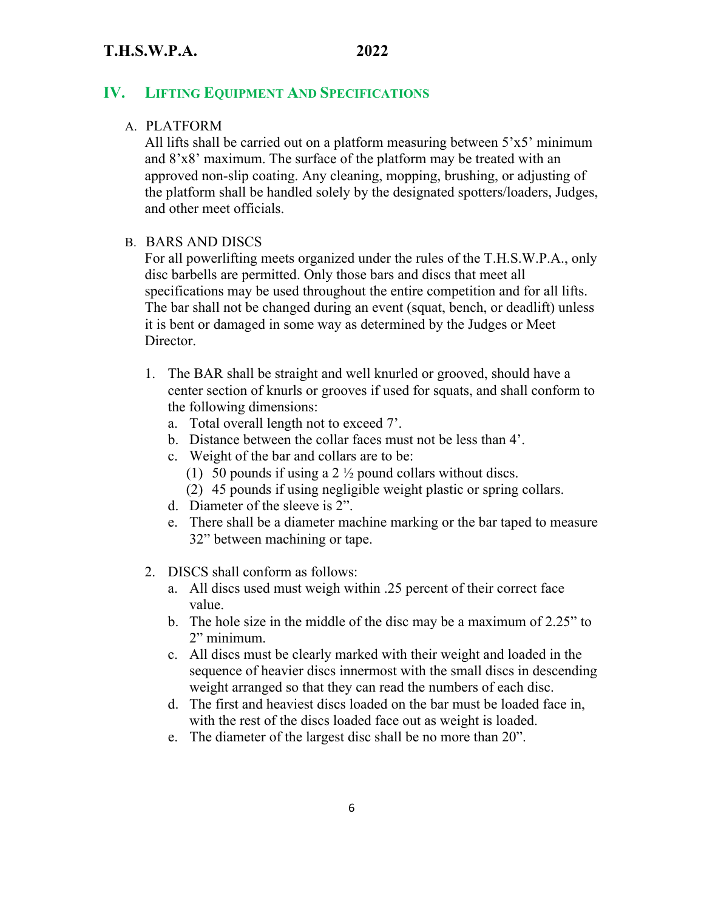### **IV. LIFTING EQUIPMENT AND SPECIFICATIONS**

### A. PLATFORM

All lifts shall be carried out on a platform measuring between  $5'x5'$  minimum and 8'x8' maximum. The surface of the platform may be treated with an approved non-slip coating. Any cleaning, mopping, brushing, or adjusting of the platform shall be handled solely by the designated spotters/loaders, Judges, and other meet officials.

### B. BARS AND DISCS

For all powerlifting meets organized under the rules of the T.H.S.W.P.A., only disc barbells are permitted. Only those bars and discs that meet all specifications may be used throughout the entire competition and for all lifts. The bar shall not be changed during an event (squat, bench, or deadlift) unless it is bent or damaged in some way as determined by the Judges or Meet Director.

- 1. The BAR shall be straight and well knurled or grooved, should have a center section of knurls or grooves if used for squats, and shall conform to the following dimensions:
	- a. Total overall length not to exceed 7'.
	- b. Distance between the collar faces must not be less than 4'.
	- c. Weight of the bar and collars are to be:
		- (1) 50 pounds if using a 2  $\frac{1}{2}$  pound collars without discs.
		- (2) 45 pounds if using negligible weight plastic or spring collars.
	- d. Diameter of the sleeve is 2".
	- e. There shall be a diameter machine marking or the bar taped to measure 32" between machining or tape.
- 2. DISCS shall conform as follows:
	- a. All discs used must weigh within .25 percent of their correct face value.
	- b. The hole size in the middle of the disc may be a maximum of 2.25" to 2" minimum.
	- c. All discs must be clearly marked with their weight and loaded in the sequence of heavier discs innermost with the small discs in descending weight arranged so that they can read the numbers of each disc.
	- d. The first and heaviest discs loaded on the bar must be loaded face in, with the rest of the discs loaded face out as weight is loaded.
	- e. The diameter of the largest disc shall be no more than 20".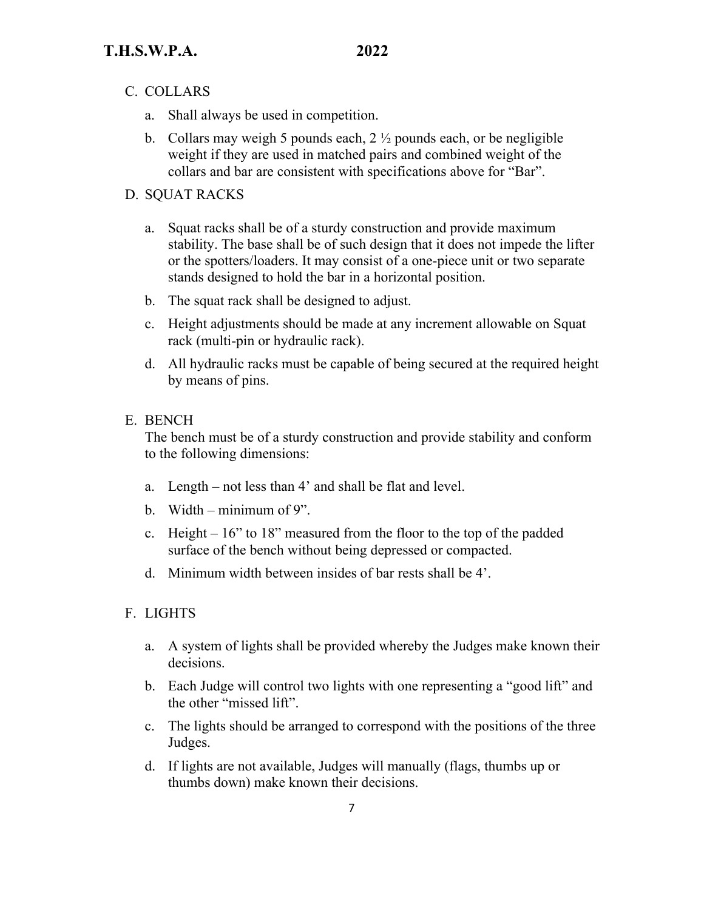- C. COLLARS
	- a. Shall always be used in competition.
	- b. Collars may weigh 5 pounds each,  $2\frac{1}{2}$  pounds each, or be negligible weight if they are used in matched pairs and combined weight of the collars and bar are consistent with specifications above for "Bar".

#### D. SQUAT RACKS

- a. Squat racks shall be of a sturdy construction and provide maximum stability. The base shall be of such design that it does not impede the lifter or the spotters/loaders. It may consist of a one-piece unit or two separate stands designed to hold the bar in a horizontal position.
- b. The squat rack shall be designed to adjust.
- c. Height adjustments should be made at any increment allowable on Squat rack (multi-pin or hydraulic rack).
- d. All hydraulic racks must be capable of being secured at the required height by means of pins.

### E. BENCH

The bench must be of a sturdy construction and provide stability and conform to the following dimensions:

- a. Length not less than 4' and shall be flat and level.
- b. Width minimum of 9".
- c. Height 16" to 18" measured from the floor to the top of the padded surface of the bench without being depressed or compacted.
- d. Minimum width between insides of bar rests shall be 4'.

#### F. LIGHTS

- a. A system of lights shall be provided whereby the Judges make known their decisions.
- b. Each Judge will control two lights with one representing a "good lift" and the other "missed lift".
- c. The lights should be arranged to correspond with the positions of the three Judges.
- d. If lights are not available, Judges will manually (flags, thumbs up or thumbs down) make known their decisions.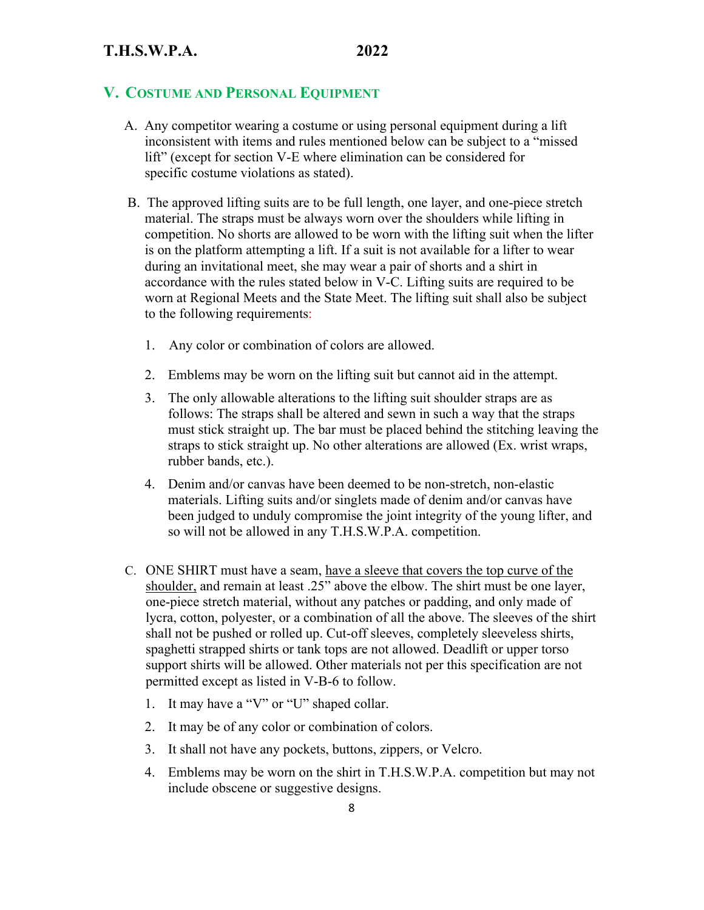### **V. COSTUME AND PERSONAL EQUIPMENT**

- A. Any competitor wearing a costume or using personal equipment during a lift inconsistent with items and rules mentioned below can be subject to a "missed lift" (except for section V-E where elimination can be considered for specific costume violations as stated).
- B. The approved lifting suits are to be full length, one layer, and one-piece stretch material. The straps must be always worn over the shoulders while lifting in competition. No shorts are allowed to be worn with the lifting suit when the lifter is on the platform attempting a lift. If a suit is not available for a lifter to wear during an invitational meet, she may wear a pair of shorts and a shirt in accordance with the rules stated below in V-C. Lifting suits are required to be worn at Regional Meets and the State Meet. The lifting suit shall also be subject to the following requirements:
	- 1. Any color or combination of colors are allowed.
	- 2. Emblems may be worn on the lifting suit but cannot aid in the attempt.
	- 3. The only allowable alterations to the lifting suit shoulder straps are as follows: The straps shall be altered and sewn in such a way that the straps must stick straight up. The bar must be placed behind the stitching leaving the straps to stick straight up. No other alterations are allowed (Ex. wrist wraps, rubber bands, etc.).
	- 4. Denim and/or canvas have been deemed to be non-stretch, non-elastic materials. Lifting suits and/or singlets made of denim and/or canvas have been judged to unduly compromise the joint integrity of the young lifter, and so will not be allowed in any T.H.S.W.P.A. competition.
- C. ONE SHIRT must have a seam, have a sleeve that covers the top curve of the shoulder, and remain at least .25" above the elbow. The shirt must be one layer, one-piece stretch material, without any patches or padding, and only made of lycra, cotton, polyester, or a combination of all the above. The sleeves of the shirt shall not be pushed or rolled up. Cut-off sleeves, completely sleeveless shirts, spaghetti strapped shirts or tank tops are not allowed. Deadlift or upper torso support shirts will be allowed. Other materials not per this specification are not permitted except as listed in V-B-6 to follow.
	- 1. It may have a "V" or "U" shaped collar.
	- 2. It may be of any color or combination of colors.
	- 3. It shall not have any pockets, buttons, zippers, or Velcro.
	- 4. Emblems may be worn on the shirt in T.H.S.W.P.A. competition but may not include obscene or suggestive designs.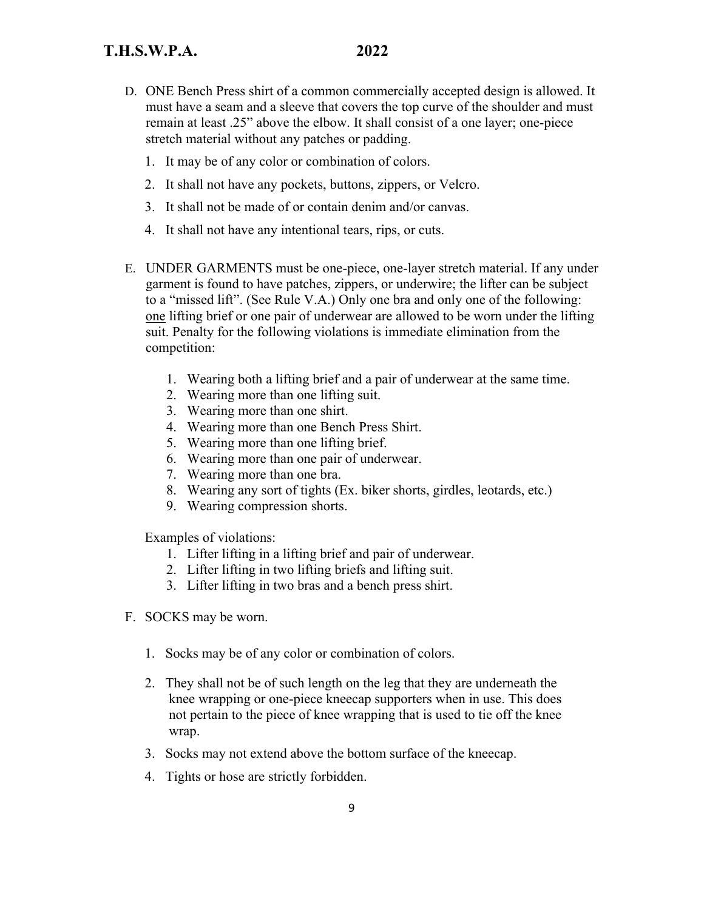- D. ONE Bench Press shirt of a common commercially accepted design is allowed. It must have a seam and a sleeve that covers the top curve of the shoulder and must remain at least .25" above the elbow. It shall consist of a one layer; one-piece stretch material without any patches or padding.
	- 1. It may be of any color or combination of colors.
	- 2. It shall not have any pockets, buttons, zippers, or Velcro.
	- 3. It shall not be made of or contain denim and/or canvas.
	- 4. It shall not have any intentional tears, rips, or cuts.
- E. UNDER GARMENTS must be one-piece, one-layer stretch material. If any under garment is found to have patches, zippers, or underwire; the lifter can be subject to a "missed lift". (See Rule V.A.) Only one bra and only one of the following: one lifting brief or one pair of underwear are allowed to be worn under the lifting suit. Penalty for the following violations is immediate elimination from the competition:
	- 1. Wearing both a lifting brief and a pair of underwear at the same time.
	- 2. Wearing more than one lifting suit.
	- 3. Wearing more than one shirt.
	- 4. Wearing more than one Bench Press Shirt.
	- 5. Wearing more than one lifting brief.
	- 6. Wearing more than one pair of underwear.
	- 7. Wearing more than one bra.
	- 8. Wearing any sort of tights (Ex. biker shorts, girdles, leotards, etc.)
	- 9. Wearing compression shorts.

Examples of violations:

- 1. Lifter lifting in a lifting brief and pair of underwear.
- 2. Lifter lifting in two lifting briefs and lifting suit.
- 3. Lifter lifting in two bras and a bench press shirt.
- F. SOCKS may be worn.
	- 1. Socks may be of any color or combination of colors.
	- 2. They shall not be of such length on the leg that they are underneath the knee wrapping or one-piece kneecap supporters when in use. This does not pertain to the piece of knee wrapping that is used to tie off the knee wrap.
	- 3. Socks may not extend above the bottom surface of the kneecap.
	- 4. Tights or hose are strictly forbidden.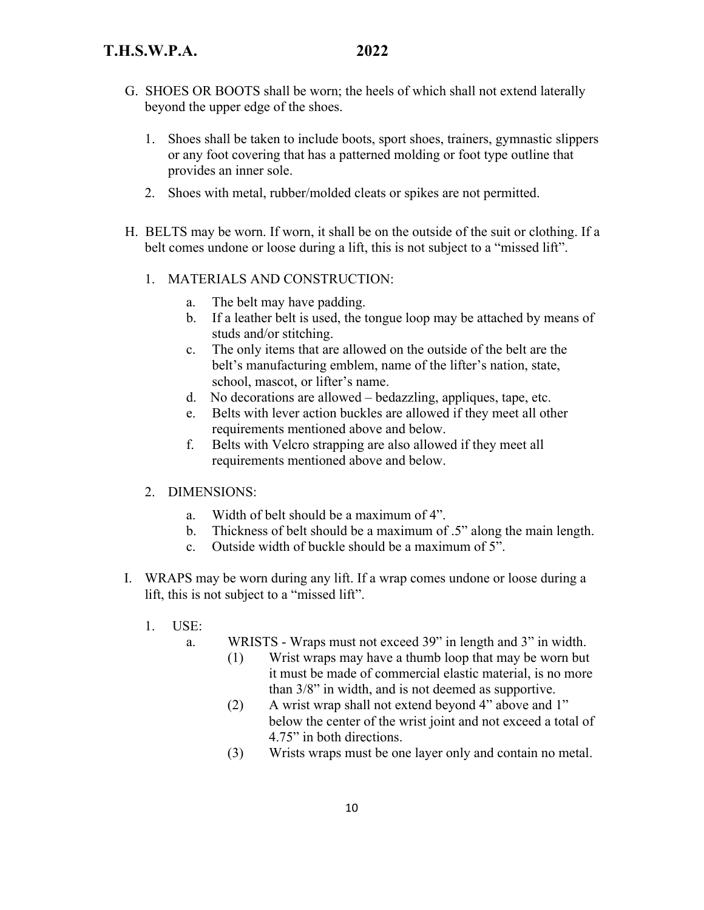- G. SHOES OR BOOTS shall be worn; the heels of which shall not extend laterally beyond the upper edge of the shoes.
	- 1. Shoes shall be taken to include boots, sport shoes, trainers, gymnastic slippers or any foot covering that has a patterned molding or foot type outline that provides an inner sole.
	- 2. Shoes with metal, rubber/molded cleats or spikes are not permitted.
- H. BELTS may be worn. If worn, it shall be on the outside of the suit or clothing. If a belt comes undone or loose during a lift, this is not subject to a "missed lift".
	- 1. MATERIALS AND CONSTRUCTION:
		- a. The belt may have padding.
		- b. If a leather belt is used, the tongue loop may be attached by means of studs and/or stitching.
		- c. The only items that are allowed on the outside of the belt are the belt's manufacturing emblem, name of the lifter's nation, state, school, mascot, or lifter's name.
		- d. No decorations are allowed bedazzling, appliques, tape, etc.
		- e. Belts with lever action buckles are allowed if they meet all other requirements mentioned above and below.
		- f. Belts with Velcro strapping are also allowed if they meet all requirements mentioned above and below.
	- 2. DIMENSIONS:
		- a. Width of belt should be a maximum of 4".
		- b. Thickness of belt should be a maximum of .5" along the main length.
		- c. Outside width of buckle should be a maximum of 5".
- I. WRAPS may be worn during any lift. If a wrap comes undone or loose during a lift, this is not subject to a "missed lift".
	- 1. USE:

a. WRISTS - Wraps must not exceed 39" in length and 3" in width.

- (1) Wrist wraps may have a thumb loop that may be worn but it must be made of commercial elastic material, is no more than 3/8" in width, and is not deemed as supportive.
- (2) A wrist wrap shall not extend beyond 4" above and 1" below the center of the wrist joint and not exceed a total of 4.75" in both directions.
- (3) Wrists wraps must be one layer only and contain no metal.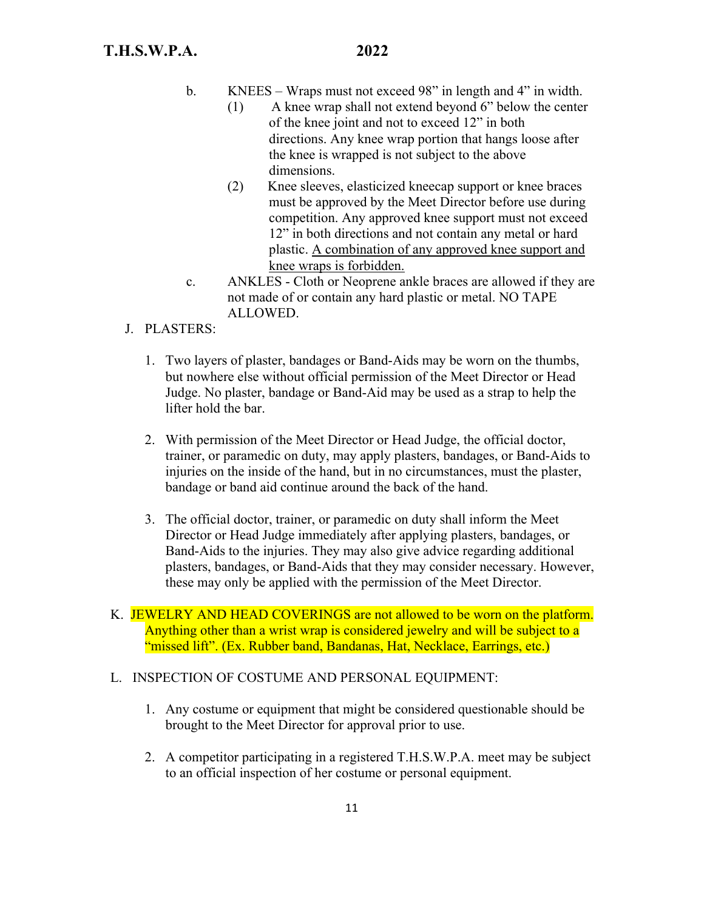- b. KNEES Wraps must not exceed 98" in length and 4" in width.
	- (1) A knee wrap shall not extend beyond 6" below the center of the knee joint and not to exceed 12" in both directions. Any knee wrap portion that hangs loose after the knee is wrapped is not subject to the above dimensions.
	- (2) Knee sleeves, elasticized kneecap support or knee braces must be approved by the Meet Director before use during competition. Any approved knee support must not exceed 12" in both directions and not contain any metal or hard plastic. A combination of any approved knee support and knee wraps is forbidden.
- c. ANKLES Cloth or Neoprene ankle braces are allowed if they are not made of or contain any hard plastic or metal. NO TAPE ALLOWED.
- J. PLASTERS:
	- 1. Two layers of plaster, bandages or Band-Aids may be worn on the thumbs, but nowhere else without official permission of the Meet Director or Head Judge. No plaster, bandage or Band-Aid may be used as a strap to help the lifter hold the bar.
	- 2. With permission of the Meet Director or Head Judge, the official doctor, trainer, or paramedic on duty, may apply plasters, bandages, or Band-Aids to injuries on the inside of the hand, but in no circumstances, must the plaster, bandage or band aid continue around the back of the hand.
	- 3. The official doctor, trainer, or paramedic on duty shall inform the Meet Director or Head Judge immediately after applying plasters, bandages, or Band-Aids to the injuries. They may also give advice regarding additional plasters, bandages, or Band-Aids that they may consider necessary. However, these may only be applied with the permission of the Meet Director.
- K. JEWELRY AND HEAD COVERINGS are not allowed to be worn on the platform. Anything other than a wrist wrap is considered jewelry and will be subject to a "missed lift". (Ex. Rubber band, Bandanas, Hat, Necklace, Earrings, etc.)

#### L. INSPECTION OF COSTUME AND PERSONAL EQUIPMENT:

- 1. Any costume or equipment that might be considered questionable should be brought to the Meet Director for approval prior to use.
- 2. A competitor participating in a registered T.H.S.W.P.A. meet may be subject to an official inspection of her costume or personal equipment.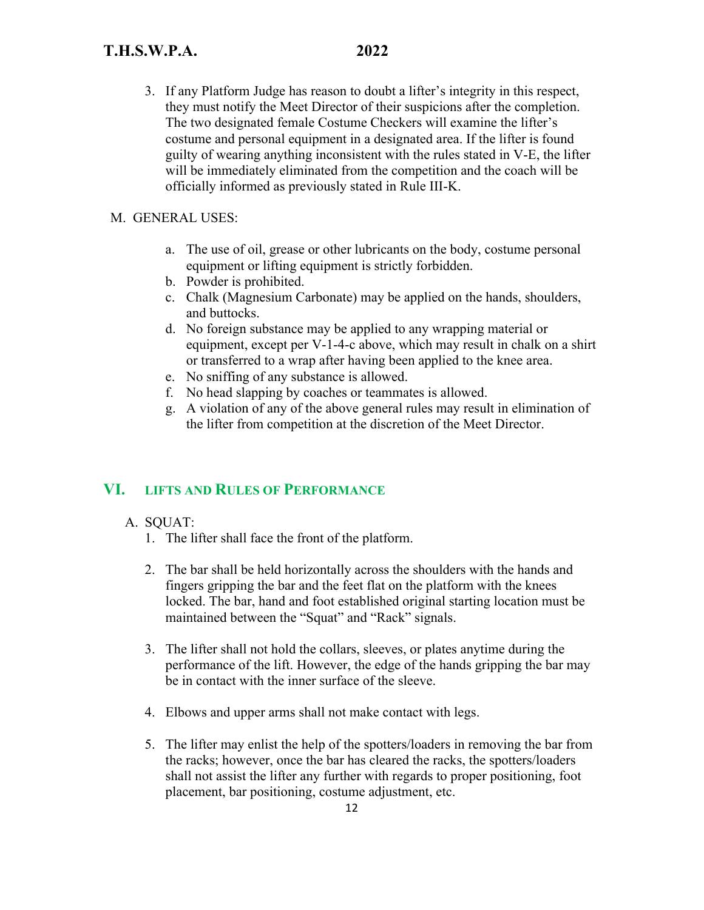3. If any Platform Judge has reason to doubt a lifter's integrity in this respect, they must notify the Meet Director of their suspicions after the completion. The two designated female Costume Checkers will examine the lifter's costume and personal equipment in a designated area. If the lifter is found guilty of wearing anything inconsistent with the rules stated in V-E, the lifter will be immediately eliminated from the competition and the coach will be officially informed as previously stated in Rule III-K.

#### M. GENERAL USES:

- a. The use of oil, grease or other lubricants on the body, costume personal equipment or lifting equipment is strictly forbidden.
- b. Powder is prohibited.
- c. Chalk (Magnesium Carbonate) may be applied on the hands, shoulders, and buttocks.
- d. No foreign substance may be applied to any wrapping material or equipment, except per V-1-4-c above, which may result in chalk on a shirt or transferred to a wrap after having been applied to the knee area.
- e. No sniffing of any substance is allowed.
- f. No head slapping by coaches or teammates is allowed.
- g. A violation of any of the above general rules may result in elimination of the lifter from competition at the discretion of the Meet Director.

# **VI. LIFTS AND RULES OF PERFORMANCE**

- A. SQUAT:
	- 1. The lifter shall face the front of the platform.
	- 2. The bar shall be held horizontally across the shoulders with the hands and fingers gripping the bar and the feet flat on the platform with the knees locked. The bar, hand and foot established original starting location must be maintained between the "Squat" and "Rack" signals.
	- 3. The lifter shall not hold the collars, sleeves, or plates anytime during the performance of the lift. However, the edge of the hands gripping the bar may be in contact with the inner surface of the sleeve.
	- 4. Elbows and upper arms shall not make contact with legs.
	- 5. The lifter may enlist the help of the spotters/loaders in removing the bar from the racks; however, once the bar has cleared the racks, the spotters/loaders shall not assist the lifter any further with regards to proper positioning, foot placement, bar positioning, costume adjustment, etc.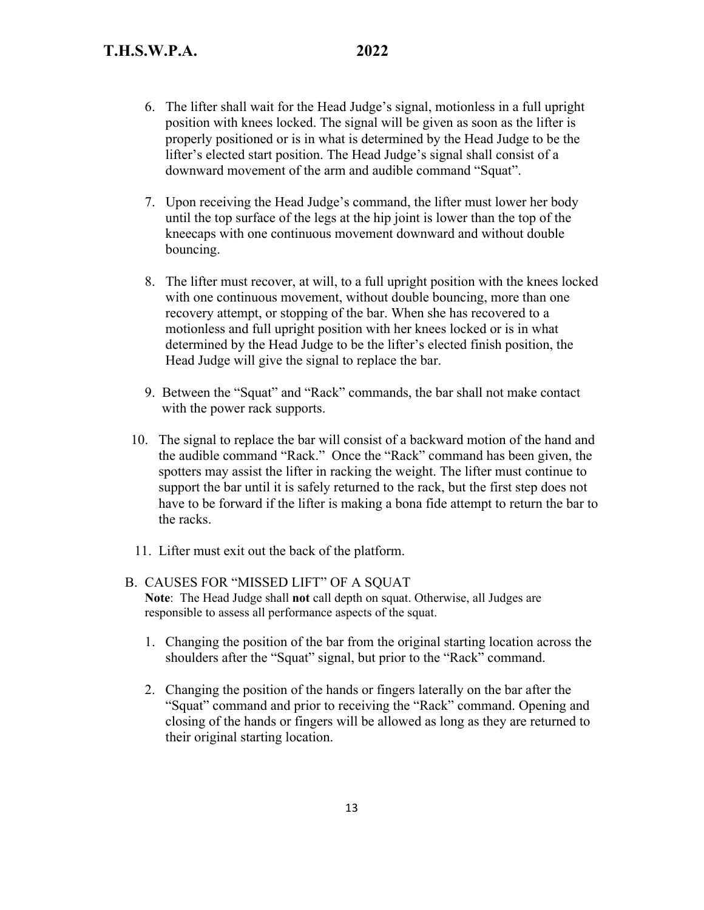- 6. The lifter shall wait for the Head Judge's signal, motionless in a full upright position with knees locked. The signal will be given as soon as the lifter is properly positioned or is in what is determined by the Head Judge to be the lifter's elected start position. The Head Judge's signal shall consist of a downward movement of the arm and audible command "Squat".
- 7. Upon receiving the Head Judge's command, the lifter must lower her body until the top surface of the legs at the hip joint is lower than the top of the kneecaps with one continuous movement downward and without double bouncing.
- 8. The lifter must recover, at will, to a full upright position with the knees locked with one continuous movement, without double bouncing, more than one recovery attempt, or stopping of the bar. When she has recovered to a motionless and full upright position with her knees locked or is in what determined by the Head Judge to be the lifter's elected finish position, the Head Judge will give the signal to replace the bar.
- 9. Between the "Squat" and "Rack" commands, the bar shall not make contact with the power rack supports.
- 10. The signal to replace the bar will consist of a backward motion of the hand and the audible command "Rack." Once the "Rack" command has been given, the spotters may assist the lifter in racking the weight. The lifter must continue to support the bar until it is safely returned to the rack, but the first step does not have to be forward if the lifter is making a bona fide attempt to return the bar to the racks.
- 11. Lifter must exit out the back of the platform.
- B. CAUSES FOR "MISSED LIFT" OF A SQUAT **Note**: The Head Judge shall **not** call depth on squat. Otherwise, all Judges are responsible to assess all performance aspects of the squat.
	- 1. Changing the position of the bar from the original starting location across the shoulders after the "Squat" signal, but prior to the "Rack" command.
	- 2. Changing the position of the hands or fingers laterally on the bar after the "Squat" command and prior to receiving the "Rack" command. Opening and closing of the hands or fingers will be allowed as long as they are returned to their original starting location.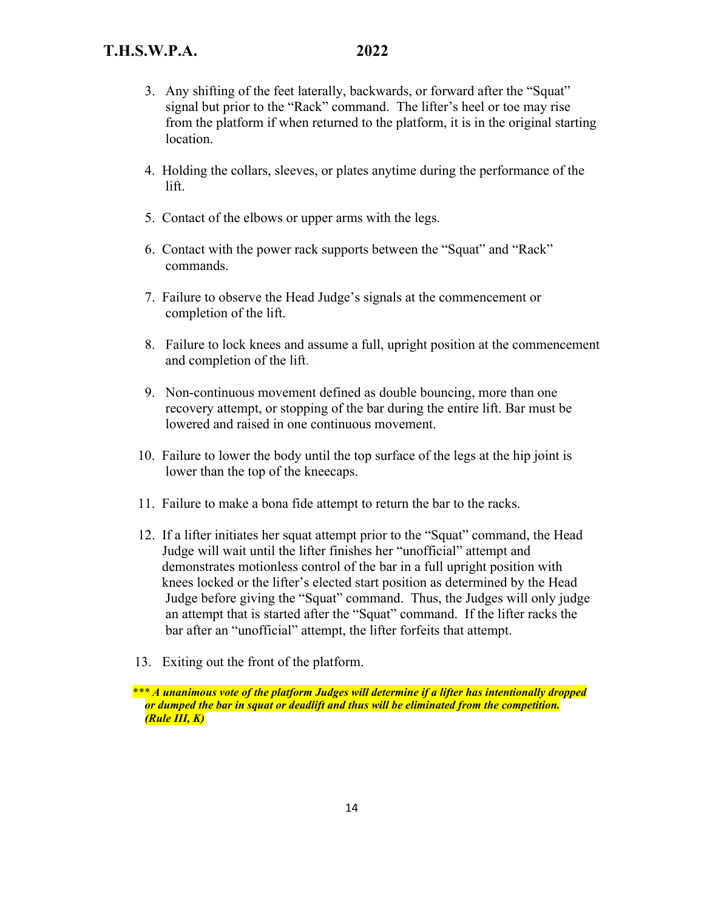- 3. Any shifting of the feet laterally, backwards, or forward after the "Squat" signal but prior to the "Rack" command. The lifter's heel or toe may rise from the platform if when returned to the platform, it is in the original starting location.
- 4. Holding the collars, sleeves, or plates anytime during the performance of the lift.
- 5. Contact of the elbows or upper arms with the legs.
- 6. Contact with the power rack supports between the "Squat" and "Rack" commands.
- 7. Failure to observe the Head Judge's signals at the commencement or completion of the lift.
- 8. Failure to lock knees and assume a full, upright position at the commencement and completion of the lift.
- 9. Non-continuous movement defined as double bouncing, more than one recovery attempt, or stopping of the bar during the entire lift. Bar must be lowered and raised in one continuous movement.
- 10. Failure to lower the body until the top surface of the legs at the hip joint is lower than the top of the kneecaps.
- 11. Failure to make a bona fide attempt to return the bar to the racks.
- 12. If a lifter initiates her squat attempt prior to the "Squat" command, the Head Judge will wait until the lifter finishes her "unofficial" attempt and demonstrates motionless control of the bar in a full upright position with knees locked or the lifter's elected start position as determined by the Head Judge before giving the "Squat" command. Thus, the Judges will only judge an attempt that is started after the "Squat" command. If the lifter racks the bar after an "unofficial" attempt, the lifter forfeits that attempt.
- 13. Exiting out the front of the platform.

 *\*\*\* A unanimous vote of the platform Judges will determine if a lifter has intentionally dropped or dumped the bar in squat or deadlift and thus will be eliminated from the competition. (Rule III, K)*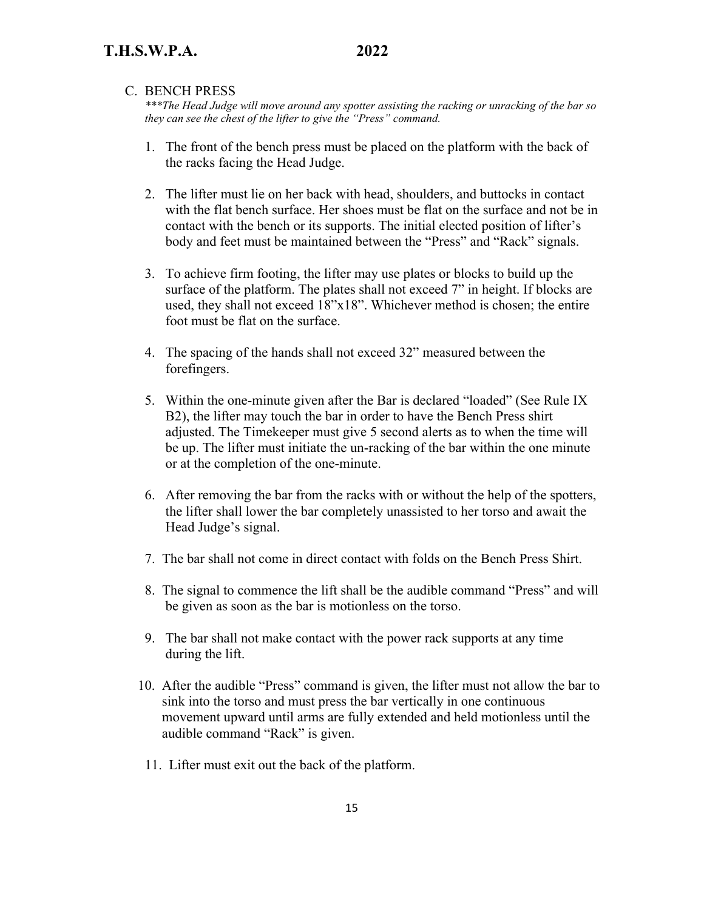#### C. BENCH PRESS

*\*\*\*The Head Judge will move around any spotter assisting the racking or unracking of the bar so they can see the chest of the lifter to give the "Press" command.* 

- 1. The front of the bench press must be placed on the platform with the back of the racks facing the Head Judge.
- 2. The lifter must lie on her back with head, shoulders, and buttocks in contact with the flat bench surface. Her shoes must be flat on the surface and not be in contact with the bench or its supports. The initial elected position of lifter's body and feet must be maintained between the "Press" and "Rack" signals.
- 3. To achieve firm footing, the lifter may use plates or blocks to build up the surface of the platform. The plates shall not exceed 7" in height. If blocks are used, they shall not exceed 18"x18". Whichever method is chosen; the entire foot must be flat on the surface.
- 4. The spacing of the hands shall not exceed 32" measured between the forefingers.
- 5. Within the one-minute given after the Bar is declared "loaded" (See Rule IX B2), the lifter may touch the bar in order to have the Bench Press shirt adjusted. The Timekeeper must give 5 second alerts as to when the time will be up. The lifter must initiate the un-racking of the bar within the one minute or at the completion of the one-minute.
- 6. After removing the bar from the racks with or without the help of the spotters, the lifter shall lower the bar completely unassisted to her torso and await the Head Judge's signal.
- 7. The bar shall not come in direct contact with folds on the Bench Press Shirt.
- 8. The signal to commence the lift shall be the audible command "Press" and will be given as soon as the bar is motionless on the torso.
- 9. The bar shall not make contact with the power rack supports at any time during the lift.
- 10. After the audible "Press" command is given, the lifter must not allow the bar to sink into the torso and must press the bar vertically in one continuous movement upward until arms are fully extended and held motionless until the audible command "Rack" is given.
- 11. Lifter must exit out the back of the platform.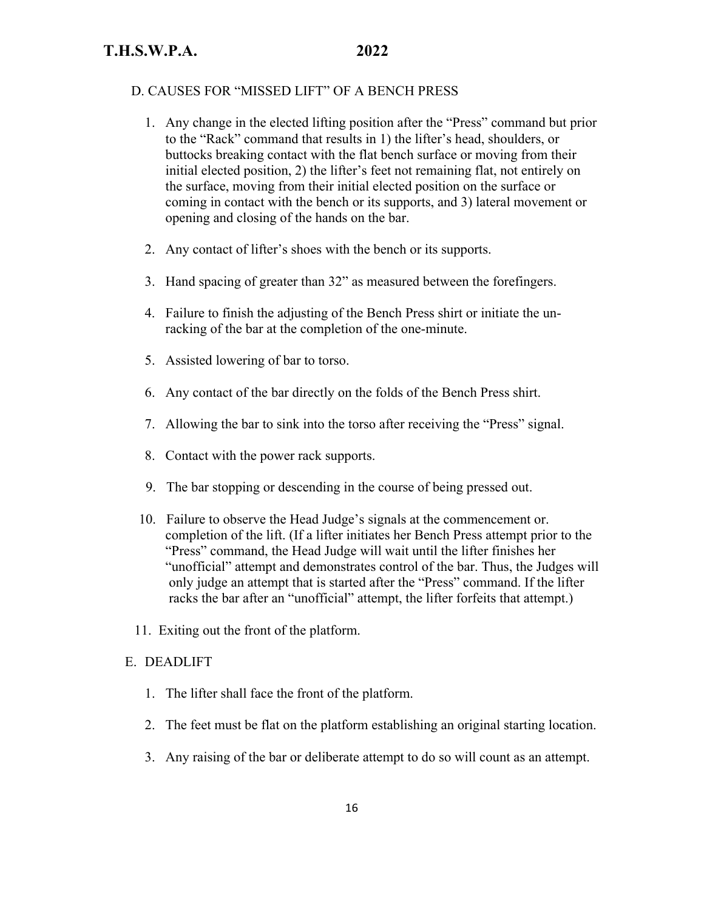#### D. CAUSES FOR "MISSED LIFT" OF A BENCH PRESS

- 1. Any change in the elected lifting position after the "Press" command but prior to the "Rack" command that results in 1) the lifter's head, shoulders, or buttocks breaking contact with the flat bench surface or moving from their initial elected position, 2) the lifter's feet not remaining flat, not entirely on the surface, moving from their initial elected position on the surface or coming in contact with the bench or its supports, and 3) lateral movement or opening and closing of the hands on the bar.
- 2. Any contact of lifter's shoes with the bench or its supports.
- 3. Hand spacing of greater than 32" as measured between the forefingers.
- 4. Failure to finish the adjusting of the Bench Press shirt or initiate the unracking of the bar at the completion of the one-minute.
- 5. Assisted lowering of bar to torso.
- 6. Any contact of the bar directly on the folds of the Bench Press shirt.
- 7. Allowing the bar to sink into the torso after receiving the "Press" signal.
- 8. Contact with the power rack supports.
- 9. The bar stopping or descending in the course of being pressed out.
- 10. Failure to observe the Head Judge's signals at the commencement or. completion of the lift. (If a lifter initiates her Bench Press attempt prior to the "Press" command, the Head Judge will wait until the lifter finishes her "unofficial" attempt and demonstrates control of the bar. Thus, the Judges will only judge an attempt that is started after the "Press" command. If the lifter racks the bar after an "unofficial" attempt, the lifter forfeits that attempt.)
- 11. Exiting out the front of the platform.

### E. DEADLIFT

- 1. The lifter shall face the front of the platform.
- 2. The feet must be flat on the platform establishing an original starting location.
- 3. Any raising of the bar or deliberate attempt to do so will count as an attempt.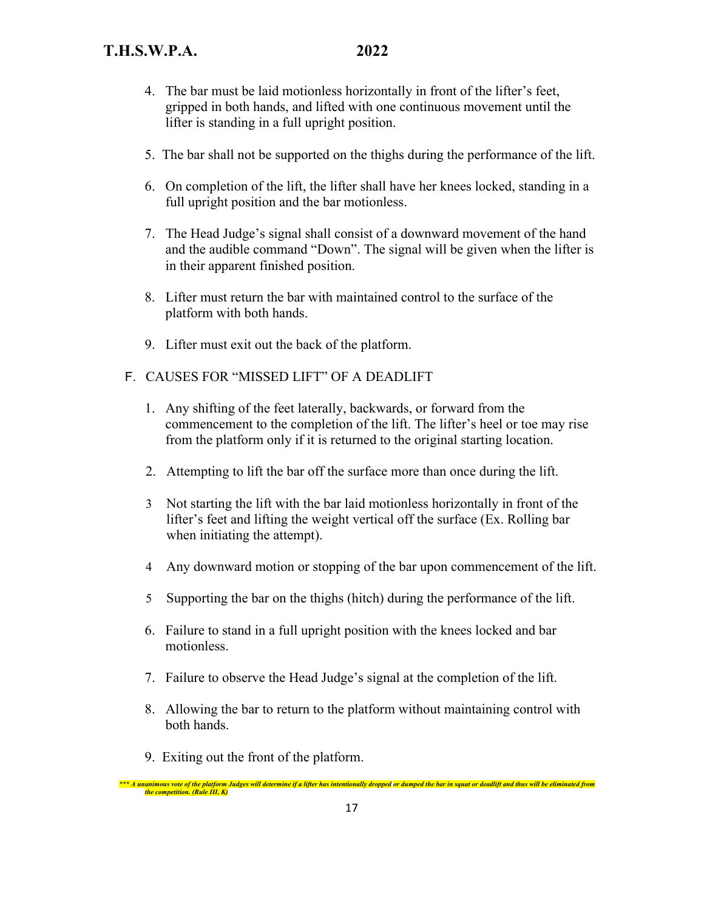- 4. The bar must be laid motionless horizontally in front of the lifter's feet, gripped in both hands, and lifted with one continuous movement until the lifter is standing in a full upright position.
- 5. The bar shall not be supported on the thighs during the performance of the lift.
- 6. On completion of the lift, the lifter shall have her knees locked, standing in a full upright position and the bar motionless.
- 7. The Head Judge's signal shall consist of a downward movement of the hand and the audible command "Down". The signal will be given when the lifter is in their apparent finished position.
- 8. Lifter must return the bar with maintained control to the surface of the platform with both hands.
- 9. Lifter must exit out the back of the platform.
- F. CAUSES FOR "MISSED LIFT" OF A DEADLIFT
	- 1. Any shifting of the feet laterally, backwards, or forward from the commencement to the completion of the lift. The lifter's heel or toe may rise from the platform only if it is returned to the original starting location.
	- 2. Attempting to lift the bar off the surface more than once during the lift.
	- 3 Not starting the lift with the bar laid motionless horizontally in front of the lifter's feet and lifting the weight vertical off the surface (Ex. Rolling bar when initiating the attempt).
	- 4 Any downward motion or stopping of the bar upon commencement of the lift.
	- 5 Supporting the bar on the thighs (hitch) during the performance of the lift.
	- 6. Failure to stand in a full upright position with the knees locked and bar motionless.
	- 7. Failure to observe the Head Judge's signal at the completion of the lift.
	- 8. Allowing the bar to return to the platform without maintaining control with both hands.
	- 9. Exiting out the front of the platform.

 *\*\*\* A unanimous vote of the platform Judges will determine if a lifter has intentionally dropped or dumped the bar in squat or deadlift and thus will be eliminated from the competition. (Rule III, K)*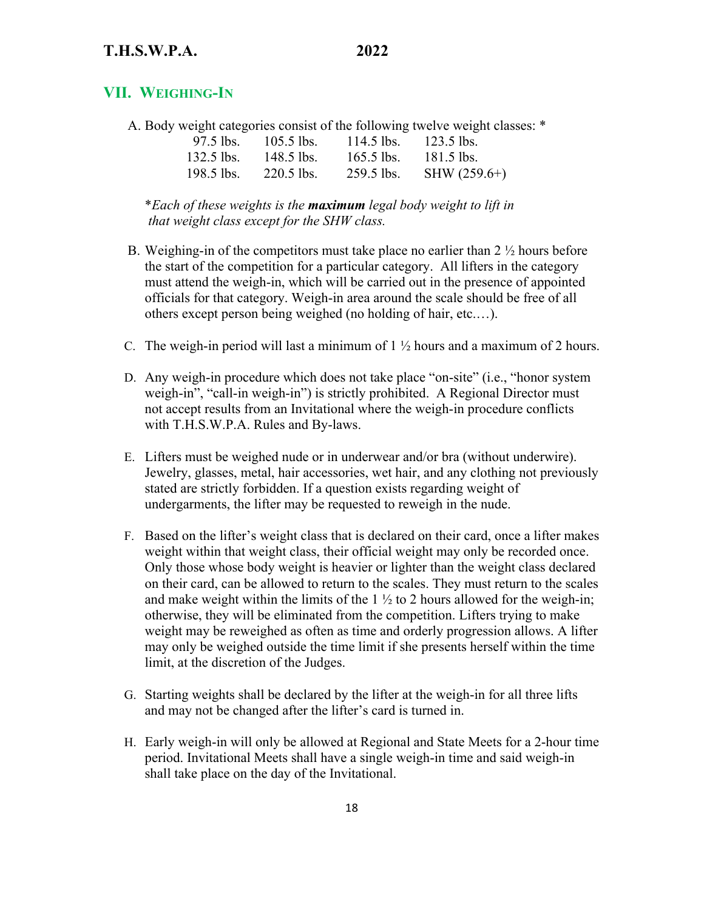# **T.H.S.W.P.A. 2022**

# **VII. WEIGHING-IN**

A. Body weight categories consist of the following twelve weight classes: \*

| $97.5$ lbs.  | $105.5$ lbs. | $114.5$ lbs. | $123.5$ lbs.   |
|--------------|--------------|--------------|----------------|
| $132.5$ lbs. | 148.5 lbs.   | $165.5$ lbs. | $181.5$ lbs.   |
| $198.5$ lbs. | $220.5$ lbs. | $259.5$ lbs. | SHW $(259.6+)$ |

 \**Each of these weights is the maximum legal body weight to lift in that weight class except for the SHW class.* 

- B. Weighing-in of the competitors must take place no earlier than  $2 \frac{1}{2}$  hours before the start of the competition for a particular category. All lifters in the category must attend the weigh-in, which will be carried out in the presence of appointed officials for that category. Weigh-in area around the scale should be free of all others except person being weighed (no holding of hair, etc.…).
- C. The weigh-in period will last a minimum of  $1 \frac{1}{2}$  hours and a maximum of 2 hours.
- D. Any weigh-in procedure which does not take place "on-site" (i.e., "honor system weigh-in", "call-in weigh-in") is strictly prohibited. A Regional Director must not accept results from an Invitational where the weigh-in procedure conflicts with T.H.S.W.P.A. Rules and By-laws.
- E. Lifters must be weighed nude or in underwear and/or bra (without underwire). Jewelry, glasses, metal, hair accessories, wet hair, and any clothing not previously stated are strictly forbidden. If a question exists regarding weight of undergarments, the lifter may be requested to reweigh in the nude.
- F. Based on the lifter's weight class that is declared on their card, once a lifter makes weight within that weight class, their official weight may only be recorded once. Only those whose body weight is heavier or lighter than the weight class declared on their card, can be allowed to return to the scales. They must return to the scales and make weight within the limits of the  $1 \frac{1}{2}$  to 2 hours allowed for the weigh-in; otherwise, they will be eliminated from the competition. Lifters trying to make weight may be reweighed as often as time and orderly progression allows. A lifter may only be weighed outside the time limit if she presents herself within the time limit, at the discretion of the Judges.
- G. Starting weights shall be declared by the lifter at the weigh-in for all three lifts and may not be changed after the lifter's card is turned in.
- H. Early weigh-in will only be allowed at Regional and State Meets for a 2-hour time period. Invitational Meets shall have a single weigh-in time and said weigh-in shall take place on the day of the Invitational.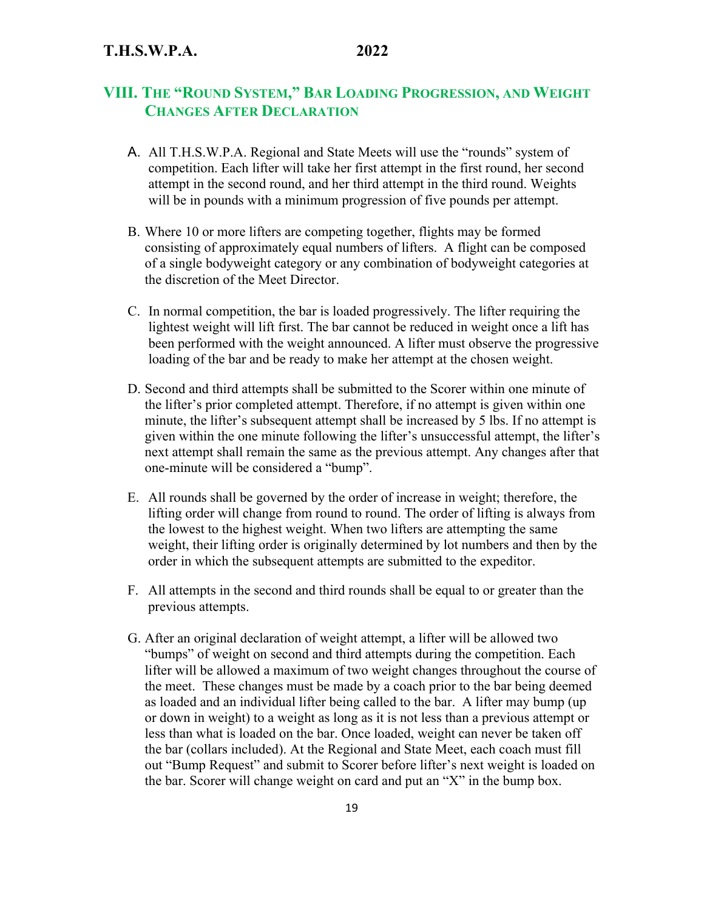# **VIII. THE "ROUND SYSTEM," BAR LOADING PROGRESSION, AND WEIGHT CHANGES AFTER DECLARATION**

- A. All T.H.S.W.P.A. Regional and State Meets will use the "rounds" system of competition. Each lifter will take her first attempt in the first round, her second attempt in the second round, and her third attempt in the third round. Weights will be in pounds with a minimum progression of five pounds per attempt.
- B. Where 10 or more lifters are competing together, flights may be formed consisting of approximately equal numbers of lifters. A flight can be composed of a single bodyweight category or any combination of bodyweight categories at the discretion of the Meet Director.
- C. In normal competition, the bar is loaded progressively. The lifter requiring the lightest weight will lift first. The bar cannot be reduced in weight once a lift has been performed with the weight announced. A lifter must observe the progressive loading of the bar and be ready to make her attempt at the chosen weight.
- D. Second and third attempts shall be submitted to the Scorer within one minute of the lifter's prior completed attempt. Therefore, if no attempt is given within one minute, the lifter's subsequent attempt shall be increased by 5 lbs. If no attempt is given within the one minute following the lifter's unsuccessful attempt, the lifter's next attempt shall remain the same as the previous attempt. Any changes after that one-minute will be considered a "bump".
- E. All rounds shall be governed by the order of increase in weight; therefore, the lifting order will change from round to round. The order of lifting is always from the lowest to the highest weight. When two lifters are attempting the same weight, their lifting order is originally determined by lot numbers and then by the order in which the subsequent attempts are submitted to the expeditor.
- F. All attempts in the second and third rounds shall be equal to or greater than the previous attempts.
- G. After an original declaration of weight attempt, a lifter will be allowed two "bumps" of weight on second and third attempts during the competition. Each lifter will be allowed a maximum of two weight changes throughout the course of the meet. These changes must be made by a coach prior to the bar being deemed as loaded and an individual lifter being called to the bar. A lifter may bump (up or down in weight) to a weight as long as it is not less than a previous attempt or less than what is loaded on the bar. Once loaded, weight can never be taken off the bar (collars included). At the Regional and State Meet, each coach must fill out "Bump Request" and submit to Scorer before lifter's next weight is loaded on the bar. Scorer will change weight on card and put an "X" in the bump box.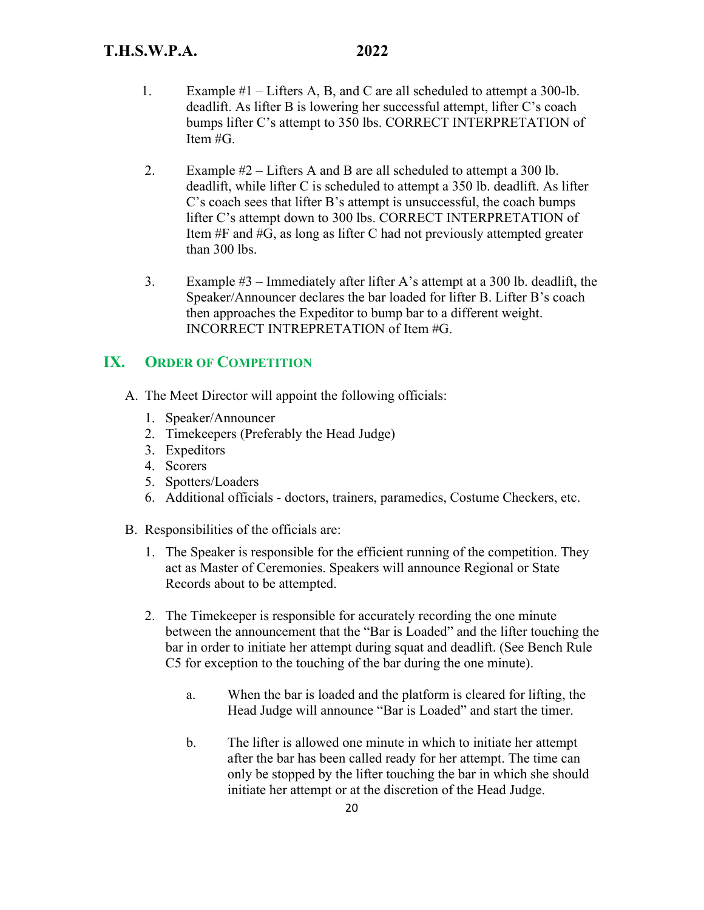- 1. Example #1 Lifters A, B, and C are all scheduled to attempt a 300-lb. deadlift. As lifter B is lowering her successful attempt, lifter C's coach bumps lifter C's attempt to 350 lbs. CORRECT INTERPRETATION of Item #G.
- 2. Example #2 Lifters A and B are all scheduled to attempt a 300 lb. deadlift, while lifter C is scheduled to attempt a 350 lb. deadlift. As lifter C's coach sees that lifter B's attempt is unsuccessful, the coach bumps lifter C's attempt down to 300 lbs. CORRECT INTERPRETATION of Item #F and #G, as long as lifter C had not previously attempted greater than 300 lbs.
- 3. Example #3 Immediately after lifter A's attempt at a 300 lb. deadlift, the Speaker/Announcer declares the bar loaded for lifter B. Lifter B's coach then approaches the Expeditor to bump bar to a different weight. INCORRECT INTREPRETATION of Item #G.

# **IX. ORDER OF COMPETITION**

- A. The Meet Director will appoint the following officials:
	- 1. Speaker/Announcer
	- 2. Timekeepers (Preferably the Head Judge)
	- 3. Expeditors
	- 4. Scorers
	- 5. Spotters/Loaders
	- 6. Additional officials doctors, trainers, paramedics, Costume Checkers, etc.
- B. Responsibilities of the officials are:
	- 1. The Speaker is responsible for the efficient running of the competition. They act as Master of Ceremonies. Speakers will announce Regional or State Records about to be attempted.
	- 2. The Timekeeper is responsible for accurately recording the one minute between the announcement that the "Bar is Loaded" and the lifter touching the bar in order to initiate her attempt during squat and deadlift. (See Bench Rule C5 for exception to the touching of the bar during the one minute).
		- a. When the bar is loaded and the platform is cleared for lifting, the Head Judge will announce "Bar is Loaded" and start the timer.
		- b. The lifter is allowed one minute in which to initiate her attempt after the bar has been called ready for her attempt. The time can only be stopped by the lifter touching the bar in which she should initiate her attempt or at the discretion of the Head Judge.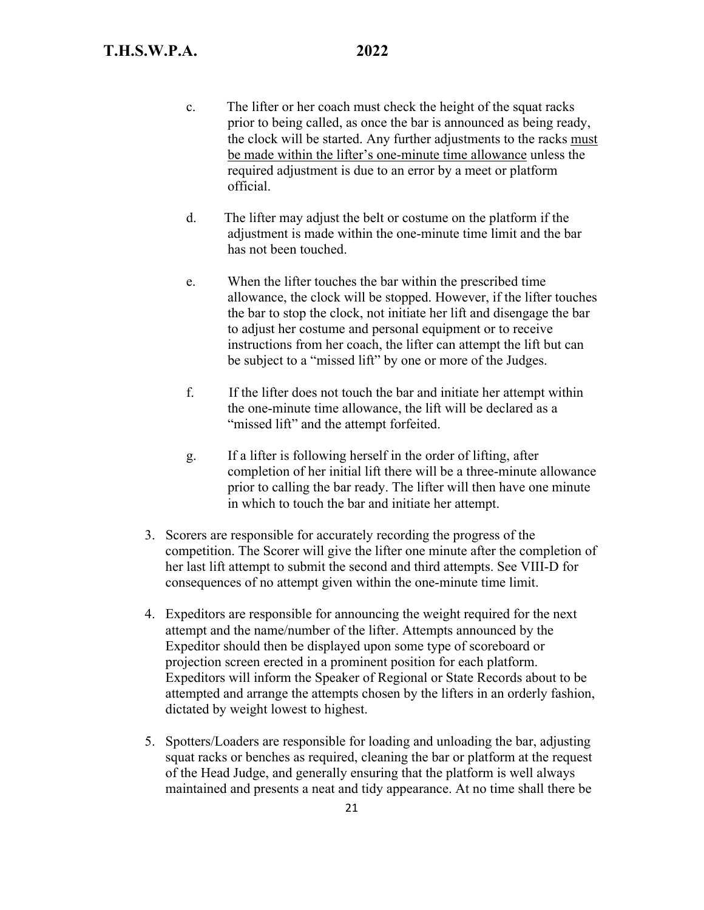- c. The lifter or her coach must check the height of the squat racks prior to being called, as once the bar is announced as being ready, the clock will be started. Any further adjustments to the racks must be made within the lifter's one-minute time allowance unless the required adjustment is due to an error by a meet or platform official.
- d. The lifter may adjust the belt or costume on the platform if the adjustment is made within the one-minute time limit and the bar has not been touched.
- e. When the lifter touches the bar within the prescribed time allowance, the clock will be stopped. However, if the lifter touches the bar to stop the clock, not initiate her lift and disengage the bar to adjust her costume and personal equipment or to receive instructions from her coach, the lifter can attempt the lift but can be subject to a "missed lift" by one or more of the Judges.
- f. If the lifter does not touch the bar and initiate her attempt within the one-minute time allowance, the lift will be declared as a "missed lift" and the attempt forfeited.
- g. If a lifter is following herself in the order of lifting, after completion of her initial lift there will be a three-minute allowance prior to calling the bar ready. The lifter will then have one minute in which to touch the bar and initiate her attempt.
- 3. Scorers are responsible for accurately recording the progress of the competition. The Scorer will give the lifter one minute after the completion of her last lift attempt to submit the second and third attempts. See VIII-D for consequences of no attempt given within the one-minute time limit.
- 4. Expeditors are responsible for announcing the weight required for the next attempt and the name/number of the lifter. Attempts announced by the Expeditor should then be displayed upon some type of scoreboard or projection screen erected in a prominent position for each platform. Expeditors will inform the Speaker of Regional or State Records about to be attempted and arrange the attempts chosen by the lifters in an orderly fashion, dictated by weight lowest to highest.
- 5. Spotters/Loaders are responsible for loading and unloading the bar, adjusting squat racks or benches as required, cleaning the bar or platform at the request of the Head Judge, and generally ensuring that the platform is well always maintained and presents a neat and tidy appearance. At no time shall there be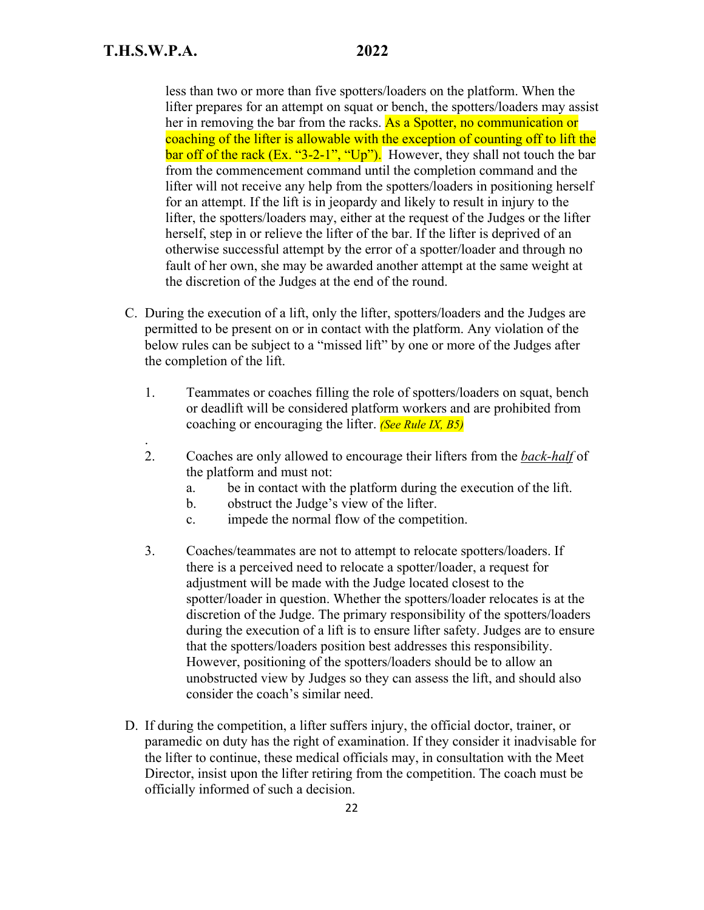.

less than two or more than five spotters/loaders on the platform. When the lifter prepares for an attempt on squat or bench, the spotters/loaders may assist her in removing the bar from the racks. As a Spotter, no communication or coaching of the lifter is allowable with the exception of counting off to lift the bar off of the rack  $(Ex. "3-2-1", "Up").$  However, they shall not touch the bar from the commencement command until the completion command and the lifter will not receive any help from the spotters/loaders in positioning herself for an attempt. If the lift is in jeopardy and likely to result in injury to the lifter, the spotters/loaders may, either at the request of the Judges or the lifter herself, step in or relieve the lifter of the bar. If the lifter is deprived of an otherwise successful attempt by the error of a spotter/loader and through no fault of her own, she may be awarded another attempt at the same weight at the discretion of the Judges at the end of the round.

- C. During the execution of a lift, only the lifter, spotters/loaders and the Judges are permitted to be present on or in contact with the platform. Any violation of the below rules can be subject to a "missed lift" by one or more of the Judges after the completion of the lift.
	- 1. Teammates or coaches filling the role of spotters/loaders on squat, bench or deadlift will be considered platform workers and are prohibited from coaching or encouraging the lifter. *(See Rule IX, B5)*
	- 2. Coaches are only allowed to encourage their lifters from the *back-half* of the platform and must not:
		- a. be in contact with the platform during the execution of the lift.
		- b. obstruct the Judge's view of the lifter.
		- c. impede the normal flow of the competition.
	- 3. Coaches/teammates are not to attempt to relocate spotters/loaders. If there is a perceived need to relocate a spotter/loader, a request for adjustment will be made with the Judge located closest to the spotter/loader in question. Whether the spotters/loader relocates is at the discretion of the Judge. The primary responsibility of the spotters/loaders during the execution of a lift is to ensure lifter safety. Judges are to ensure that the spotters/loaders position best addresses this responsibility. However, positioning of the spotters/loaders should be to allow an unobstructed view by Judges so they can assess the lift, and should also consider the coach's similar need.
- D. If during the competition, a lifter suffers injury, the official doctor, trainer, or paramedic on duty has the right of examination. If they consider it inadvisable for the lifter to continue, these medical officials may, in consultation with the Meet Director, insist upon the lifter retiring from the competition. The coach must be officially informed of such a decision.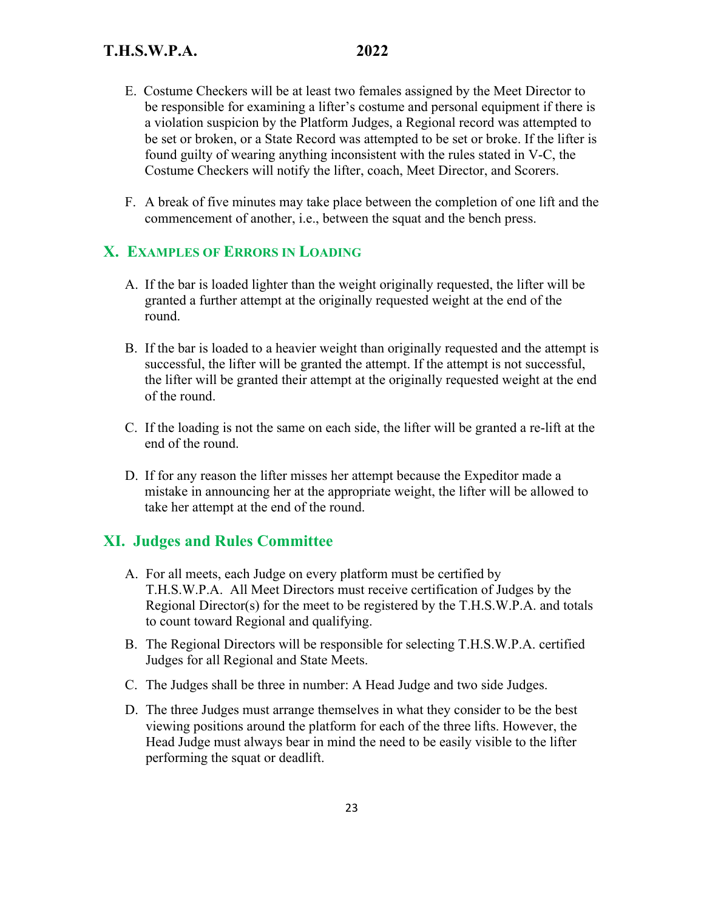- E. Costume Checkers will be at least two females assigned by the Meet Director to be responsible for examining a lifter's costume and personal equipment if there is a violation suspicion by the Platform Judges, a Regional record was attempted to be set or broken, or a State Record was attempted to be set or broke. If the lifter is found guilty of wearing anything inconsistent with the rules stated in V-C, the Costume Checkers will notify the lifter, coach, Meet Director, and Scorers.
- F. A break of five minutes may take place between the completion of one lift and the commencement of another, i.e., between the squat and the bench press.

### **X. EXAMPLES OF ERRORS IN LOADING**

- A. If the bar is loaded lighter than the weight originally requested, the lifter will be granted a further attempt at the originally requested weight at the end of the round.
- B. If the bar is loaded to a heavier weight than originally requested and the attempt is successful, the lifter will be granted the attempt. If the attempt is not successful, the lifter will be granted their attempt at the originally requested weight at the end of the round.
- C. If the loading is not the same on each side, the lifter will be granted a re-lift at the end of the round.
- D. If for any reason the lifter misses her attempt because the Expeditor made a mistake in announcing her at the appropriate weight, the lifter will be allowed to take her attempt at the end of the round.

# **XI. Judges and Rules Committee**

- A. For all meets, each Judge on every platform must be certified by T.H.S.W.P.A. All Meet Directors must receive certification of Judges by the Regional Director(s) for the meet to be registered by the T.H.S.W.P.A. and totals to count toward Regional and qualifying.
- B. The Regional Directors will be responsible for selecting T.H.S.W.P.A. certified Judges for all Regional and State Meets.
- C. The Judges shall be three in number: A Head Judge and two side Judges.
- D. The three Judges must arrange themselves in what they consider to be the best viewing positions around the platform for each of the three lifts. However, the Head Judge must always bear in mind the need to be easily visible to the lifter performing the squat or deadlift.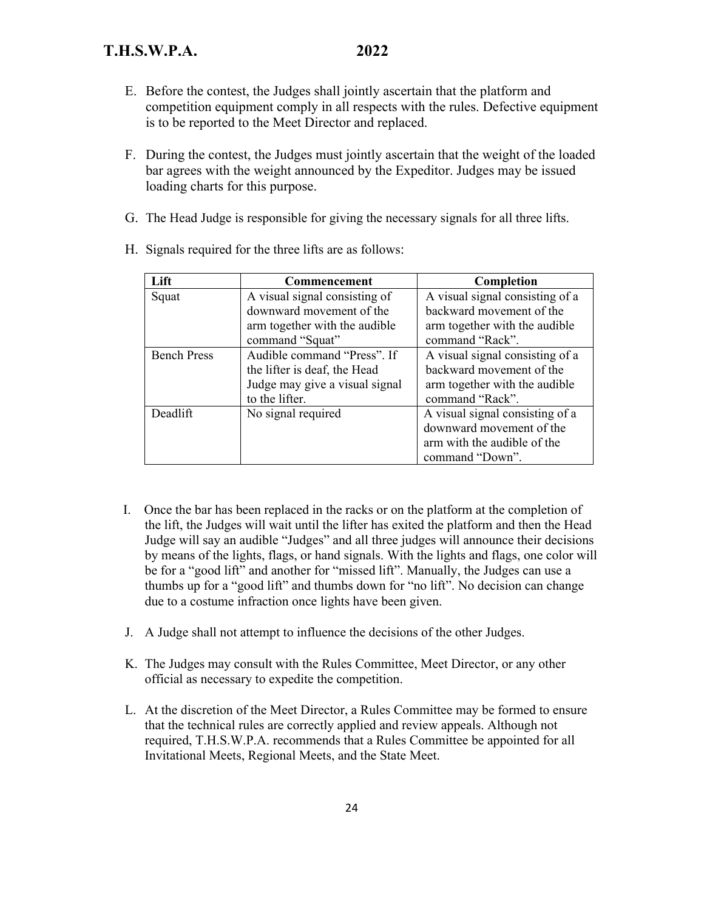# **T.H.S.W.P.A. 2022**

- E. Before the contest, the Judges shall jointly ascertain that the platform and competition equipment comply in all respects with the rules. Defective equipment is to be reported to the Meet Director and replaced.
- F. During the contest, the Judges must jointly ascertain that the weight of the loaded bar agrees with the weight announced by the Expeditor. Judges may be issued loading charts for this purpose.
- G. The Head Judge is responsible for giving the necessary signals for all three lifts.

| Lift               | <b>Commencement</b>            | Completion                      |
|--------------------|--------------------------------|---------------------------------|
| Squat              | A visual signal consisting of  | A visual signal consisting of a |
|                    | downward movement of the       | backward movement of the        |
|                    | arm together with the audible  | arm together with the audible   |
|                    | command "Squat"                | command "Rack".                 |
| <b>Bench Press</b> | Audible command "Press". If    | A visual signal consisting of a |
|                    | the lifter is deaf, the Head   | backward movement of the        |
|                    | Judge may give a visual signal | arm together with the audible   |
|                    | to the lifter.                 | command "Rack".                 |
| Deadlift           | No signal required             | A visual signal consisting of a |
|                    |                                | downward movement of the        |
|                    |                                | arm with the audible of the     |
|                    |                                | command "Down".                 |

H. Signals required for the three lifts are as follows:

- I. Once the bar has been replaced in the racks or on the platform at the completion of the lift, the Judges will wait until the lifter has exited the platform and then the Head Judge will say an audible "Judges" and all three judges will announce their decisions by means of the lights, flags, or hand signals. With the lights and flags, one color will be for a "good lift" and another for "missed lift". Manually, the Judges can use a thumbs up for a "good lift" and thumbs down for "no lift". No decision can change due to a costume infraction once lights have been given.
- J. A Judge shall not attempt to influence the decisions of the other Judges.
- K. The Judges may consult with the Rules Committee, Meet Director, or any other official as necessary to expedite the competition.
- L. At the discretion of the Meet Director, a Rules Committee may be formed to ensure that the technical rules are correctly applied and review appeals. Although not required, T.H.S.W.P.A. recommends that a Rules Committee be appointed for all Invitational Meets, Regional Meets, and the State Meet.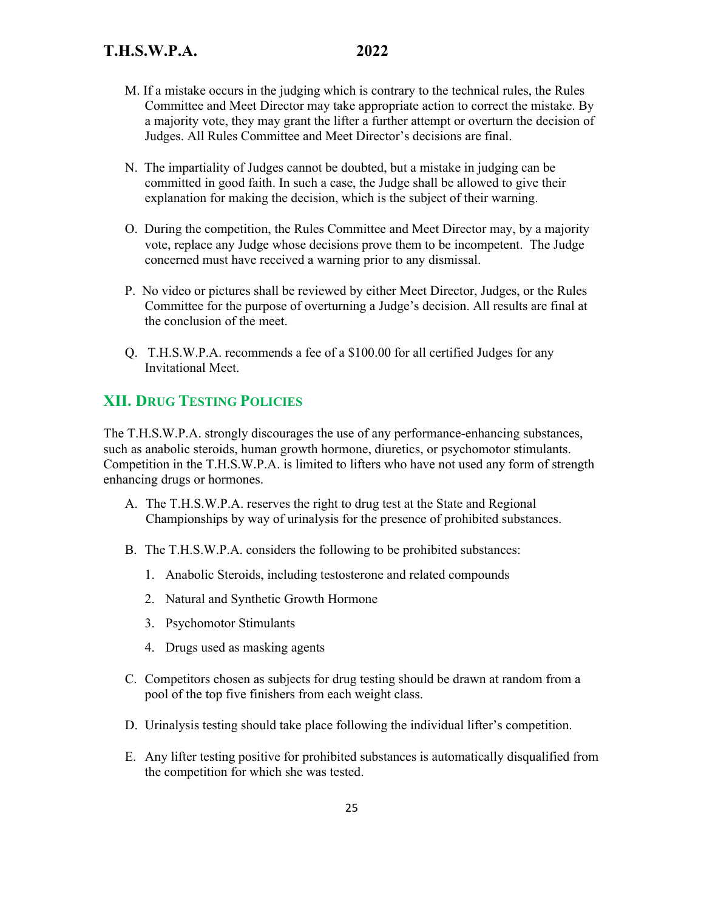- M. If a mistake occurs in the judging which is contrary to the technical rules, the Rules Committee and Meet Director may take appropriate action to correct the mistake. By a majority vote, they may grant the lifter a further attempt or overturn the decision of Judges. All Rules Committee and Meet Director's decisions are final.
- N. The impartiality of Judges cannot be doubted, but a mistake in judging can be committed in good faith. In such a case, the Judge shall be allowed to give their explanation for making the decision, which is the subject of their warning.
- O. During the competition, the Rules Committee and Meet Director may, by a majority vote, replace any Judge whose decisions prove them to be incompetent. The Judge concerned must have received a warning prior to any dismissal.
- P. No video or pictures shall be reviewed by either Meet Director, Judges, or the Rules Committee for the purpose of overturning a Judge's decision. All results are final at the conclusion of the meet.
- Q. T.H.S.W.P.A. recommends a fee of a \$100.00 for all certified Judges for any Invitational Meet.

# **XII. DRUG TESTING POLICIES**

The T.H.S.W.P.A. strongly discourages the use of any performance-enhancing substances, such as anabolic steroids, human growth hormone, diuretics, or psychomotor stimulants. Competition in the T.H.S.W.P.A. is limited to lifters who have not used any form of strength enhancing drugs or hormones.

- A. The T.H.S.W.P.A. reserves the right to drug test at the State and Regional Championships by way of urinalysis for the presence of prohibited substances.
- B. The T.H.S.W.P.A. considers the following to be prohibited substances:
	- 1. Anabolic Steroids, including testosterone and related compounds
	- 2. Natural and Synthetic Growth Hormone
	- 3. Psychomotor Stimulants
	- 4. Drugs used as masking agents
- C. Competitors chosen as subjects for drug testing should be drawn at random from a pool of the top five finishers from each weight class.
- D. Urinalysis testing should take place following the individual lifter's competition.
- E. Any lifter testing positive for prohibited substances is automatically disqualified from the competition for which she was tested.